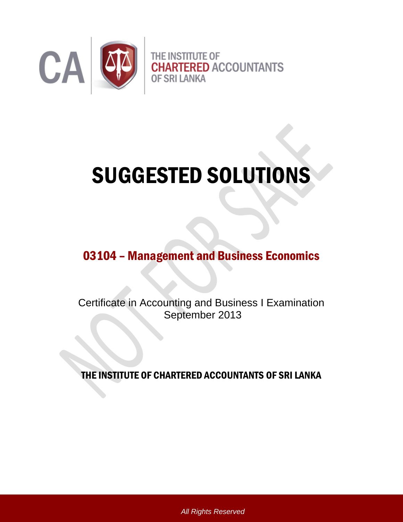

# SUGGESTED SOLUTIONS

# 03104 – Management and Business Economics

Certificate in Accounting and Business I Examination September 2013

THE INSTITUTE OF CHARTERED ACCOUNTANTS OF SRI LANKA

*All Rights Reserved*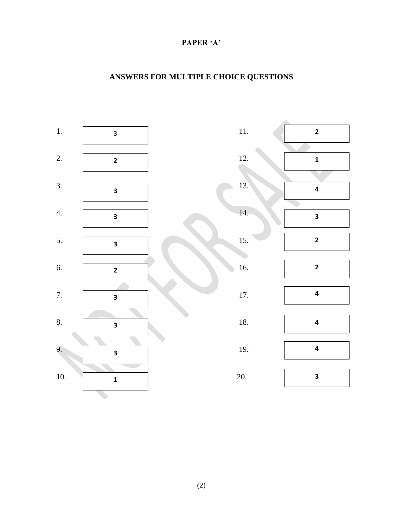#### **PAPER 'A'**

## **ANSWERS FOR MULTIPLE CHOICE QUESTIONS**

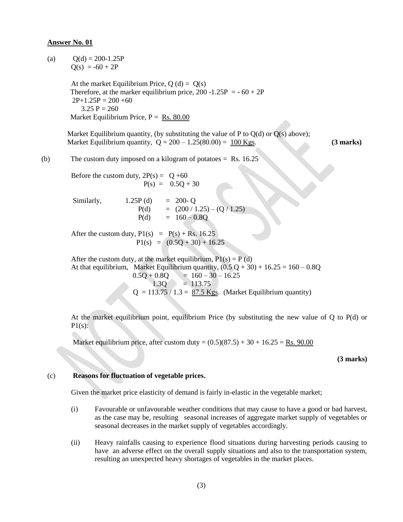#### **Answer No. 01**

(a) 
$$
Q(d) = 200-1.25P
$$
  
 $Q(s) = -60 + 2P$ 

At the market Equilibrium Price,  $Q(d) = Q(s)$ Therefore, at the marker equilibrium price,  $200 -1.25P = -60 + 2P$  $2P+1.25P = 200 +60$  $3.25 P = 260$ Market Equilibrium Price,  $P = Rs. 80.00$ 

Market Equilibrium quantity, (by substituting the value of P to  $Q(d)$  or  $Q(s)$  above); Market Equilibrium quantity,  $Q = 200 - 1.25(80.00) = 100$  Kgs. **(3 marks)** 

(b) The custom duty imposed on a kilogram of potatoes = Rs. 16.25

Before the custom duty,  $2P(s) = Q +60$  $P(s) = 0.5Q + 30$ 

Similarly,  $1.25P(d) = 200 - Q$  $P(d) = (200 / 1.25) - (Q / 1.25)$  $P(d) = 160 - 0.8Q$ 

After the custom duty,  $P1(s) = P(s) + Rs. 16.25$  $P1(s) = (0.5Q + 30) + 16.25$ 

After the custom duty, at the market equilibrium,  $P1(s) = P(d)$ At that equilibrium, Market Equilibrium quantity,  $(0.5 Q + 30) + 16.25 = 160 - 0.8Q$  $0.5Q + 0.8Q = 160 - 30 - 16.25$  $1.3Q = 113.75$  $Q = 113.75 / 1.3 = 87.5$  Kgs. (Market Equilibrium quantity)

At the market equilibrium point, equilibrium Price (by substituting the new value of Q to P(d) or  $P1(s)$ :

Market equilibrium price, after custom duty =  $(0.5)(87.5) + 30 + 16.25 =$  Rs. 90.00

**(3 marks)**

#### (c) **Reasons for fluctuation of vegetable prices.**

Given the market price elasticity of demand is fairly in-elastic in the vegetable market;

- (i) Favourable or unfavourable weather conditions that may cause to have a good or bad harvest, as the case may be, resulting seasonal increases of aggregate market supply of vegetables or seasonal decreases in the market supply of vegetables accordingly.
- (ii) Heavy rainfalls causing to experience flood situations during harvesting periods causing to have an adverse effect on the overall supply situations and also to the transportation system, resulting an unexpected heavy shortages of vegetables in the market places.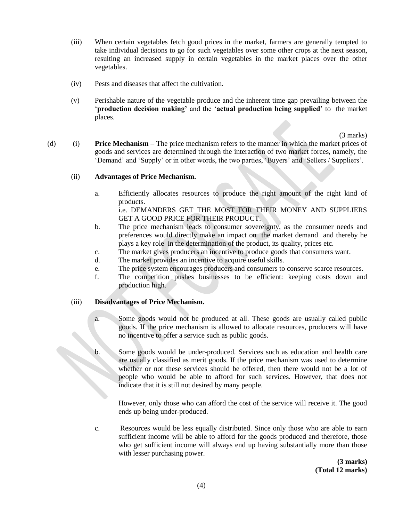- (iii) When certain vegetables fetch good prices in the market, farmers are generally tempted to take individual decisions to go for such vegetables over some other crops at the next season, resulting an increased supply in certain vegetables in the market places over the other vegetables.
- (iv) Pests and diseases that affect the cultivation.
- (v) Perishable nature of the vegetable produce and the inherent time gap prevailing between the '**production decision making'** and the '**actual production being supplied'** to the market places.

(3 marks)

(d) (i) **Price Mechanism** – The price mechanism refers to the manner in which the market prices of goods and services are determined through the interaction of two market forces, namely, the 'Demand' and 'Supply' or in other words, the two parties, 'Buyers' and 'Sellers / Suppliers'.

#### (ii) **Advantages of Price Mechanism.**

- a. Efficiently allocates resources to produce the right amount of the right kind of products. i.e. DEMANDERS GET THE MOST FOR THEIR MONEY AND SUPPLIERS
- GET A GOOD PRICE FOR THEIR PRODUCT. b. The price mechanism leads to consumer sovereignty, as the consumer needs and
- preferences would directly make an impact on the market demand and thereby he plays a key role in the determination of the product, its quality, prices etc.
- c. The market gives producers an incentive to produce goods that consumers want.
- d. The market provides an incentive to acquire useful skills.
- e. The price system encourages producers and consumers to conserve scarce resources.
- f. The competition pushes businesses to be efficient: keeping costs down and production high.

#### (iii) **Disadvantages of Price Mechanism.**

- a. Some goods would not be produced at all. These goods are usually called public goods. If the price mechanism is allowed to allocate resources, producers will have no incentive to offer a service such as public goods.
- b. Some goods would be under-produced. Services such as education and health care are usually classified as merit goods. If the price mechanism was used to determine whether or not these services should be offered, then there would not be a lot of people who would be able to afford for such services. However, that does not indicate that it is still not desired by many people.

However, only those who can afford the cost of the service will receive it. The good ends up being under-produced.

c. Resources would be less equally distributed. Since only those who are able to earn sufficient income will be able to afford for the goods produced and therefore, those who get sufficient income will always end up having substantially more than those with lesser purchasing power.

> **(3 marks) (Total 12 marks)**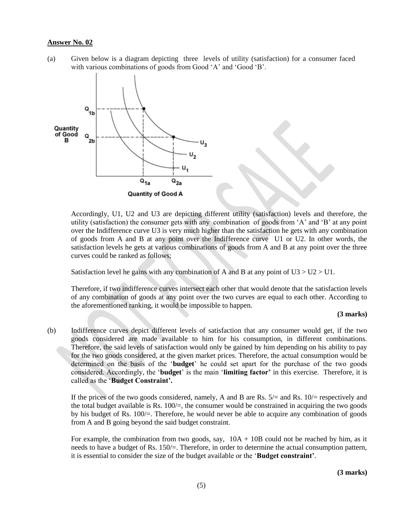#### **Answer No. 02**

(a) Given below is a diagram depicting three levels of utility (satisfaction) for a consumer faced with various combinations of goods from Good 'A' and 'Good 'B'.



Accordingly, U1, U2 and U3 are depicting different utility (satisfaction) levels and therefore, the utility (satisfaction) the consumer gets with any combination of goods from 'A' and 'B' at any point over the Indifference curve U3 is very much higher than the satisfaction he gets with any combination of goods from A and B at any point over the Indifference curve U1 or U2. In other words, the satisfaction levels he gets at various combinations of goods from A and B at any point over the three curves could be ranked as follows;

Satisfaction level he gains with any combination of A and B at any point of  $U3 > U2 > U1$ .

Therefore, if two indifference curves intersect each other that would denote that the satisfaction levels of any combination of goods at any point over the two curves are equal to each other. According to the aforementioned ranking, it would be impossible to happen.

#### **(3 marks)**

(b) Indifference curves depict different levels of satisfaction that any consumer would get, if the two goods considered are made available to him for his consumption, in different combinations. Therefore, the said levels of satisfaction would only be gained by him depending on his ability to pay for the two goods considered, at the given market prices. Therefore, the actual consumption would be determined on the basis of the '**budget**' he could set apart for the purchase of the two goods considered. Accordingly, the '**budget**' is the main '**limiting factor'** in this exercise. Therefore, it is called as the '**Budget Constraint'.** 

If the prices of the two goods considered, namely, A and B are Rs.  $5/=$  and Rs.  $10/=$  respectively and the total budget available is Rs.  $100/$ , the consumer would be constrained in acquiring the two goods by his budget of Rs. 100/=. Therefore, he would never be able to acquire any combination of goods from A and B going beyond the said budget constraint.

For example, the combination from two goods, say,  $10A + 10B$  could not be reached by him, as it needs to have a budget of Rs. 150/=. Therefore, in order to determine the actual consumption pattern, it is essential to consider the size of the budget available or the '**Budget constraint'**.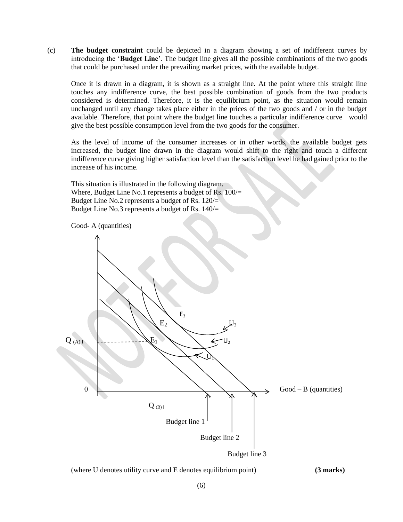(c) **The budget constraint** could be depicted in a diagram showing a set of indifferent curves by introducing the '**Budget Line'**. The budget line gives all the possible combinations of the two goods that could be purchased under the prevailing market prices, with the available budget.

Once it is drawn in a diagram, it is shown as a straight line. At the point where this straight line touches any indifference curve, the best possible combination of goods from the two products considered is determined. Therefore, it is the equilibrium point, as the situation would remain unchanged until any change takes place either in the prices of the two goods and / or in the budget available. Therefore, that point where the budget line touches a particular indifference curve would give the best possible consumption level from the two goods for the consumer.

As the level of income of the consumer increases or in other words, the available budget gets increased, the budget line drawn in the diagram would shift to the right and touch a different indifference curve giving higher satisfaction level than the satisfaction level he had gained prior to the increase of his income.

This situation is illustrated in the following diagram. Where, Budget Line No.1 represents a budget of Rs. 100/= Budget Line No.2 represents a budget of Rs. 120/= Budget Line No.3 represents a budget of Rs. 140/=





Budget line 3

#### (where U denotes utility curve and E denotes equilibrium point) **(3 marks)**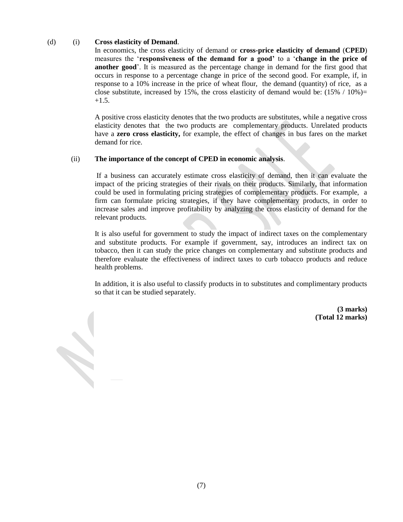#### (d) (i) **Cross elasticity of Demand**.

In economics, the cross elasticity of demand or **cross-price elasticity of demand** (**CPED**) measures the '**responsiveness of the demand for a good'** to a '**change in the price of another good**'. It is measured as the percentage change in demand for the first good that occurs in response to a percentage change in price of the second good. For example, if, in response to a 10% increase in the price of wheat flour, the demand (quantity) of rice, as a close substitute, increased by 15%, the cross elasticity of demand would be:  $(15\% / 10\%)$  $+1.5.$ 

A positive cross elasticity denotes that the two products are substitutes, while a negative cross elasticity denotes that the two products are complementary products. Unrelated products have a **zero cross elasticity,** for example, the effect of changes in bus fares on the market demand for rice.

#### (ii) **The importance of the concept of CPED in economic analysis**.

If a business can accurately estimate cross elasticity of demand, then it can evaluate the impact of the pricing strategies of their rivals on their products. Similarly, that information could be used in formulating pricing strategies of complementary products. For example, a firm can formulate pricing strategies, if they have complementary products, in order to increase sales and improve profitability by analyzing the cross elasticity of demand for the relevant products.

It is also useful for government to study the impact of indirect taxes on the complementary and substitute products. For example if government, say, introduces an indirect tax on tobacco, then it can study the price changes on complementary and substitute products and therefore evaluate the effectiveness of indirect taxes to curb tobacco products and reduce health problems.

In addition, it is also useful to classify products in to substitutes and complimentary products so that it can be studied separately.

> **(3 marks) (Total 12 marks)**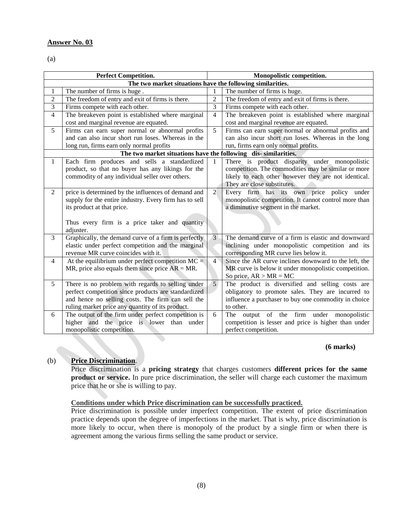#### **Answer No. 03**

(a)

| <b>Perfect Competition.</b>                                    |                                                        |                | Monopolistic competition.                             |  |
|----------------------------------------------------------------|--------------------------------------------------------|----------------|-------------------------------------------------------|--|
| The two market situations have the following similarities.     |                                                        |                |                                                       |  |
| 1                                                              | The number of firms is huge.                           | $\mathbf{1}$   | The number of firms is huge.                          |  |
| $\mathbf{2}$                                                   | The freedom of entry and exit of firms is there.       | $\overline{2}$ | The freedom of entry and exit of firms is there.      |  |
| 3                                                              | Firms compete with each other.                         | $\overline{3}$ | Firms compete with each other.                        |  |
| $\overline{4}$                                                 | The breakeven point is established where marginal      | $\overline{4}$ | The breakeven point is established where marginal     |  |
|                                                                | cost and marginal revenue are equated.                 |                | cost and marginal revenue are equated.                |  |
| 5                                                              | Firms can earn super normal or abnormal profits        | 5              | Firms can earn super normal or abnormal profits and   |  |
|                                                                | and can also incur short run loses. Whereas in the     |                | can also incur short run loses. Whereas in the long   |  |
|                                                                | long run, firms earn only normal profits               |                | run, firms earn only normal profits.                  |  |
| The two market situations have the following dis-similarities. |                                                        |                |                                                       |  |
| $\mathbf{1}$                                                   | Each firm produces and sells a standardized            | 1              | There is product disparity under monopolistic         |  |
|                                                                | product, so that no buyer has any likings for the      |                | competition. The commodities may be similar or more   |  |
|                                                                | commodity of any individual seller over others.        |                | likely to each other however they are not identical.  |  |
|                                                                |                                                        |                | They are close substitutes.                           |  |
| 2                                                              | price is determined by the influences of demand and    | $\overline{2}$ | Every firm has its own price policy under             |  |
|                                                                | supply for the entire industry. Every firm has to sell |                | monopolistic competition. It cannot control more than |  |
|                                                                | its product at that price.                             |                | a diminutive segment in the market.                   |  |
|                                                                |                                                        |                |                                                       |  |
|                                                                | Thus every firm is a price taker and quantity          |                |                                                       |  |
|                                                                | adjuster.                                              |                |                                                       |  |
| $\overline{3}$                                                 | Graphically, the demand curve of a firm is perfectly   | $\overline{3}$ | The demand curve of a firm is elastic and downward    |  |
|                                                                | elastic under perfect competition and the marginal     |                | inclining under monopolistic competition and its      |  |
|                                                                | revenue MR curve coincides with it.                    |                | corresponding MR curve lies below it.                 |  |
| $\overline{4}$                                                 | At the equilibrium under perfect competition $MC =$    | $\overline{4}$ | Since the AR curve inclines downward to the left, the |  |
|                                                                | MR, price also equals them since price $AR = MR$ .     |                | MR curve is below it under monopolistic competition.  |  |
|                                                                |                                                        |                | So price, $AR > MR = MC$                              |  |
| 5                                                              | There is no problem with regards to selling under      | $\overline{5}$ | The product is diversified and selling costs are      |  |
|                                                                | perfect competition since products are standardized    |                | obligatory to promote sales. They are incurred to     |  |
|                                                                | and hence no selling costs. The firm can sell the      |                | influence a purchaser to buy one commodity in choice  |  |
|                                                                | ruling market price any quantity of its product.       |                | to other.                                             |  |
| 6                                                              | The output of the firm under perfect competition is    | 6              | The output of the firm under monopolistic             |  |
|                                                                | higher and the price is lower than under               |                | competition is lesser and price is higher than under  |  |
|                                                                | monopolistic competition.                              |                | perfect competition.                                  |  |

#### **(6 marks)**

#### (b) **Price Discrimination**.

Price discrimination is a **pricing strategy** that charges customers **different prices for the same product or service.** In pure price discrimination, the seller will charge each customer the maximum price that he or she is willing to pay.

#### **Conditions under which Price discrimination can be successfully practiced.**

Price discrimination is possible under imperfect competition. The extent of price discrimination practice depends upon the degree of imperfections in the market. That is why, price discrimination is more likely to occur, when there is monopoly of the product by a single firm or when there is agreement among the various firms selling the same product or service.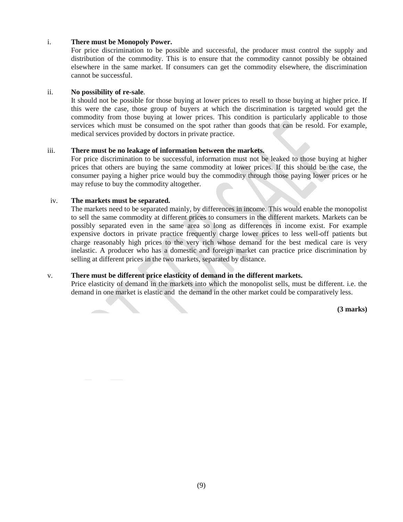#### i. **There must be Monopoly Power.**

For price discrimination to be possible and successful, the producer must control the supply and distribution of the commodity. This is to ensure that the commodity cannot possibly be obtained elsewhere in the same market. If consumers can get the commodity elsewhere, the discrimination cannot be successful.

#### ii. **No possibility of re-sale**.

It should not be possible for those buying at lower prices to resell to those buying at higher price. If this were the case, those group of buyers at which the discrimination is targeted would get the commodity from those buying at lower prices. This condition is particularly applicable to those services which must be consumed on the spot rather than goods that can be resold. For example, medical services provided by doctors in private practice.

#### iii. **There must be no leakage of information between the markets.**

For price discrimination to be successful, information must not be leaked to those buying at higher prices that others are buying the same commodity at lower prices. If this should be the case, the consumer paying a higher price would buy the commodity through those paying lower prices or he may refuse to buy the commodity altogether.

#### iv. **The markets must be separated.**

The markets need to be separated mainly, by differences in income. This would enable the monopolist to sell the same commodity at different prices to consumers in the different markets. Markets can be possibly separated even in the same area so long as differences in income exist. For example expensive doctors in private practice frequently charge lower prices to less well-off patients but charge reasonably high prices to the very rich whose demand for the best medical care is very inelastic. A producer who has a domestic and foreign market can practice price discrimination by selling at different prices in the two markets, separated by distance.

#### v. **There must be different price elasticity of demand in the different markets.**

Price elasticity of demand in the markets into which the monopolist sells, must be different. i.e. the demand in one market is elastic and the demand in the other market could be comparatively less.

**(3 marks)**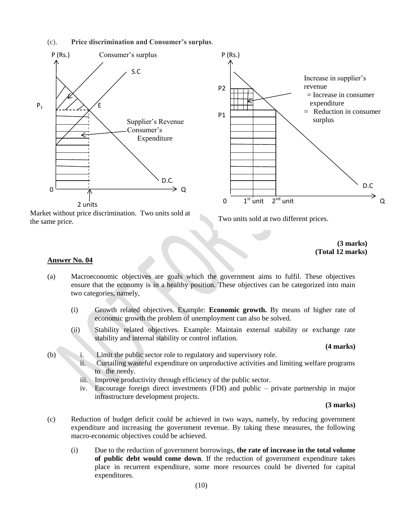#### (c). **Price discrimination and Consumer's surplus**.



Market without price discrimination. Two units sold at the same price.

Two units sold at two different prices.

**(3 marks) (Total 12 marks)**

#### **Answer No. 04**

- (a) Macroeconomic objectives are goals which the government aims to fulfil. These objectives ensure that the economy is in a healthy position. These objectives can be categorized into main two categories, namely,
	- (i) Growth related objectives. Example: **Economic growth.** By means of higher rate of economic growth the problem of unemployment can also be solved.
	- (ii) Stability related objectives. Example: Maintain external stability or exchange rate stability and internal stability or control inflation.

#### **(4 marks)**

- (b) i. Limit the public sector role to regulatory and supervisory role.
	- ii. Curtailing wasteful expenditure on unproductive activities and limiting welfare programs to the needy.
	- iii. Improve productivity through efficiency of the public sector.
	- iv. Encourage foreign direct investments (FDI) and public private partnership in major infrastructure development projects.

**(3 marks)**

- (c) Reduction of budget deficit could be achieved in two ways, namely, by reducing government expenditure and increasing the government revenue. By taking these measures, the following macro-economic objectives could be achieved.
	- (i) Due to the reduction of government borrowings, **the rate of increase in the total volume of public debt would come down**. If the reduction of government expenditure takes place in recurrent expenditure, some more resources could be diverted for capital expenditures.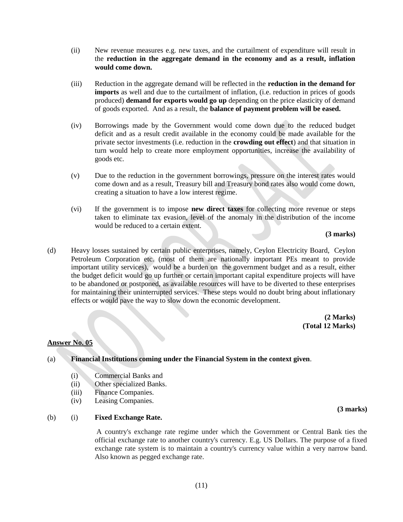- (ii) New revenue measures e.g. new taxes, and the curtailment of expenditure will result in the **reduction in the aggregate demand in the economy and as a result, inflation would come down.**
- (iii) Reduction in the aggregate demand will be reflected in the **reduction in the demand for imports** as well and due to the curtailment of inflation, (i.e. reduction in prices of goods produced) **demand for exports would go up** depending on the price elasticity of demand of goods exported. And as a result, the **balance of payment problem will be eased.**
- (iv) Borrowings made by the Government would come down due to the reduced budget deficit and as a result credit available in the economy could be made available for the private sector investments (i.e. reduction in the **crowding out effect**) and that situation in turn would help to create more employment opportunities, increase the availability of goods etc.
- (v) Due to the reduction in the government borrowings, pressure on the interest rates would come down and as a result, Treasury bill and Treasury bond rates also would come down, creating a situation to have a low interest regime.
- (vi) If the government is to impose **new direct taxes** for collecting more revenue or steps taken to eliminate tax evasion, level of the anomaly in the distribution of the income would be reduced to a certain extent.

**(3 marks)**

(d) Heavy losses sustained by certain public enterprises, namely, Ceylon Electricity Board, Ceylon Petroleum Corporation etc. (most of them are nationally important PEs meant to provide important utility services), would be a burden on the government budget and as a result, either the budget deficit would go up further or certain important capital expenditure projects will have to be abandoned or postponed, as available resources will have to be diverted to these enterprises for maintaining their uninterrupted services. These steps would no doubt bring about inflationary effects or would pave the way to slow down the economic development.

> **(2 Marks) (Total 12 Marks)**

#### **Answer No. 05**

(a) **Financial Institutions coming under the Financial System in the context given**.

- (i) Commercial Banks and
- (ii) Other specialized Banks.
- (iii) Finance Companies.
- (iv) Leasing Companies.

#### (b) (i) **Fixed Exchange Rate.**

A country's exchange rate regime under which the Government or Central Bank ties the official exchange rate to another country's currency. E.g. US Dollars. The purpose of a fixed exchange rate system is to maintain a country's currency value within a very narrow band. Also known as pegged exchange rate.

 **(3 marks)**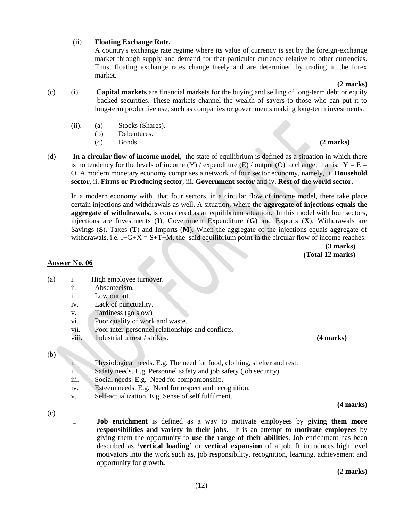#### (ii) **Floating Exchange Rate.**

A country's exchange rate regime where its value of currency is set by the foreign-exchange market through supply and demand for that particular currency relative to other currencies. Thus, floating exchange rates change freely and are determined by trading in the forex market.

#### **(2 marks)**

- (c) (i) **Capital markets** are financial markets for the buying and selling of long-term debt or equity -backed securities. These markets channel the wealth of savers to those who can put it to long-term productive use, such as companies or governments making long-term investments.
	- (ii). (a) Stocks (Shares).
		- (b) Debentures.
	- (c) Bonds. **(2 marks)**
- (d) **In a circular flow of income model,** the state of equilibrium is defined as a situation in which there is no tendency for the levels of income  $(Y)$  / expenditure  $(E)$  / output  $(O)$  to change, that is:  $Y = E =$ O. A modern monetary economy comprises a network of four sector economy, namely, i. **Household sector**, ii. **Firms or Producing sector**, iii. **Government sector** and iv. **Rest of the world sector**.

In a modern economy with that four sectors, in a circular flow of income model, there take place certain injections and withdrawals as well. A situation, where the **aggregate of injections equals the aggregate of withdrawals,** is considered as an equilibrium situation. In this model with four sectors, injections are Investments (**I**), Government Expenditure (**G**) and Exports (**X**). Withdrawals are Savings (**S**), Taxes (**T**) and Imports (**M**). When the aggregate of the injections equals aggregate of withdrawals, i.e. I+G+X = S+T+M, the said equilibrium point in the circular flow of income reaches.

**(3 marks) (Total 12 marks)**

#### **Answer No. 06**

- (a) i. High employee turnover.
	- ii. Absenteeism.
	- iii. Low output.
	- iv. Lack of punctuality.
	- v. Tardiness (go slow)
	- vi. Poor quality of work and waste.
	- vii. Poor inter-personnel relationships and conflicts.
	- viii. Industrial unrest / strikes. **(4 marks)**

#### (b)

- i. Physiological needs. E.g. The need for food, clothing, shelter and rest.
- ii. Safety needs. E.g. Personnel safety and job safety (job security).
- iii. Social needs. E.g. Need for companionship.
- iv. Esteem needs. E.g. Need for respect and recognition.
- v. Self-actualization. E.g. Sense of self fulfilment.

 **(4 marks)**

- (c)
- i. **Job enrichment** is defined as a way to motivate employees by **giving them more responsibilities and variety in their jobs**. It is an attempt **to motivate employees** by giving them the opportunity to **use the range of their abilities**. Job enrichment has been described as **'vertical loading'** or **vertical expansion** of a job. It introduces high level motivators into the work such as, job responsibility, recognition, learning, achievement and opportunity for growth**.**

**(2 marks)**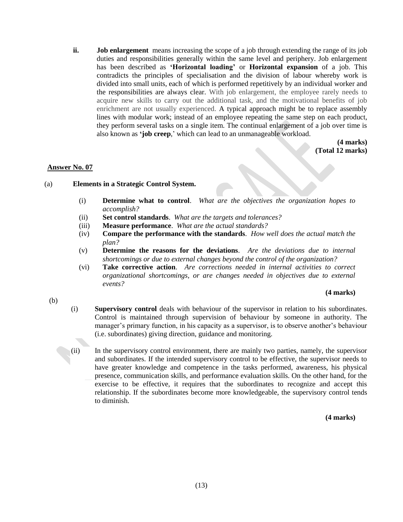**ii. Job enlargement** means increasing the scope of a job through extending the range of its job duties and responsibilities generally within the same level and periphery. Job enlargement has been described as **'Horizontal loading'** or **Horizontal expansion** of a job. This contradicts the principles of specialisation and the division of labour whereby work is divided into small units, each of which is performed repetitively by an individual worker and the responsibilities are always clear. With job enlargement, the employee rarely needs to acquire new skills to carry out the additional task, and the motivational benefits of job enrichment are not usually experienced. A typical approach might be to replace assembly lines with modular work; instead of an employee repeating the same step on each product, they perform several tasks on a single item. The continual enlargement of a job over time is also known as **'job creep**,' which can lead to an unmanageable workload.

> **(4 marks) (Total 12 marks)**

#### **Answer No. 07**

- (a) **Elements in a Strategic Control System.**
	- (i) **Determine what to control**. *What are the objectives the organization hopes to accomplish?*
	- (ii) **Set control standards**. *What are the targets and tolerances?*
	- (iii) **Measure performance**. *What are the actual standards?*
	- (iv) **Compare the performance with the standards**. *How well does the actual match the plan?*
	- (v) **Determine the reasons for the deviations**. *Are the deviations due to internal shortcomings or due to external changes beyond the control of the organization?*
	- (vi) **Take corrective action**. *Are corrections needed in internal activities to correct organizational shortcomings, or are changes needed in objectives due to external events?*

#### **(4 marks)**

- (b)
- (i) **Supervisory control** deals with behaviour of the supervisor in relation to his subordinates. Control is maintained through supervision of behaviour by someone in authority. The manager's primary function, in his capacity as a supervisor, is to observe another's behaviour (i.e. subordinates) giving direction, guidance and monitoring.
- (ii) In the supervisory control environment, there are mainly two parties, namely, the supervisor and subordinates. If the intended supervisory control to be effective, the supervisor needs to have greater knowledge and competence in the tasks performed, awareness, his physical presence, communication skills, and performance evaluation skills. On the other hand, for the exercise to be effective, it requires that the subordinates to recognize and accept this relationship. If the subordinates become more knowledgeable, the supervisory control tends to diminish.

**(4 marks)**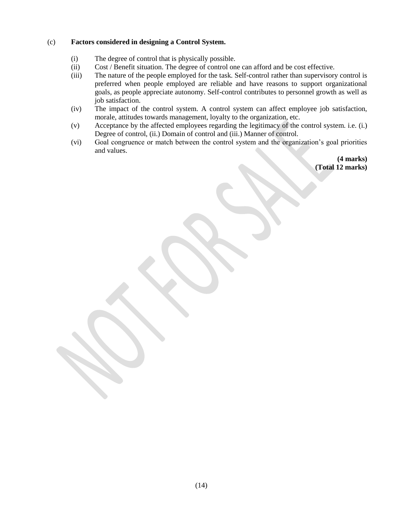#### (c) **Factors considered in designing a Control System.**

- (i) The degree of control that is physically possible.
- (ii) Cost / Benefit situation. The degree of control one can afford and be cost effective.
- (iii) The nature of the people employed for the task. Self-control rather than supervisory control is preferred when people employed are reliable and have reasons to support organizational goals, as people appreciate autonomy. Self-control contributes to personnel growth as well as job satisfaction.
- (iv) The impact of the control system. A control system can affect employee job satisfaction, morale, attitudes towards management, loyalty to the organization, etc.
- (v) Acceptance by the affected employees regarding the legitimacy of the control system. i.e. (i.) Degree of control, (ii.) Domain of control and (iii.) Manner of control.
- (vi) Goal congruence or match between the control system and the organization's goal priorities and values.

**(4 marks) (Total 12 marks)**